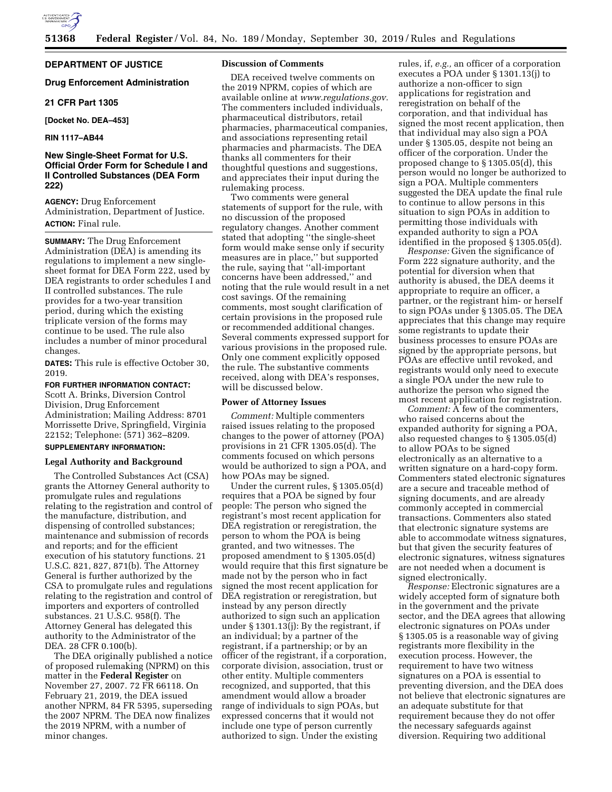

**DEPARTMENT OF JUSTICE** 

#### **Drug Enforcement Administration**

## **21 CFR Part 1305**

**[Docket No. DEA–453]** 

#### **RIN 1117–AB44**

# **New Single-Sheet Format for U.S. Official Order Form for Schedule I and II Controlled Substances (DEA Form 222)**

**AGENCY:** Drug Enforcement Administration, Department of Justice. **ACTION:** Final rule.

**SUMMARY:** The Drug Enforcement Administration (DEA) is amending its regulations to implement a new singlesheet format for DEA Form 222, used by DEA registrants to order schedules I and II controlled substances. The rule provides for a two-year transition period, during which the existing triplicate version of the forms may continue to be used. The rule also includes a number of minor procedural changes.

**DATES:** This rule is effective October 30, 2019.

# **FOR FURTHER INFORMATION CONTACT:**

Scott A. Brinks, Diversion Control Division, Drug Enforcement Administration; Mailing Address: 8701 Morrissette Drive, Springfield, Virginia 22152; Telephone: (571) 362–8209. **SUPPLEMENTARY INFORMATION:** 

## **Legal Authority and Background**

The Controlled Substances Act (CSA) grants the Attorney General authority to promulgate rules and regulations relating to the registration and control of the manufacture, distribution, and dispensing of controlled substances; maintenance and submission of records and reports; and for the efficient execution of his statutory functions. 21 U.S.C. 821, 827, 871(b). The Attorney General is further authorized by the CSA to promulgate rules and regulations relating to the registration and control of importers and exporters of controlled substances. 21 U.S.C. 958(f). The Attorney General has delegated this authority to the Administrator of the DEA. 28 CFR 0.100(b).

The DEA originally published a notice of proposed rulemaking (NPRM) on this matter in the **Federal Register** on November 27, 2007. 72 FR 66118. On February 21, 2019, the DEA issued another NPRM, 84 FR 5395, superseding the 2007 NPRM. The DEA now finalizes the 2019 NPRM, with a number of minor changes.

#### **Discussion of Comments**

DEA received twelve comments on the 2019 NPRM, copies of which are available online at *[www.regulations.gov.](http://www.regulations.gov)*  The commenters included individuals, pharmaceutical distributors, retail pharmacies, pharmaceutical companies, and associations representing retail pharmacies and pharmacists. The DEA thanks all commenters for their thoughtful questions and suggestions, and appreciates their input during the rulemaking process.

Two comments were general statements of support for the rule, with no discussion of the proposed regulatory changes. Another comment stated that adopting ''the single-sheet form would make sense only if security measures are in place,'' but supported the rule, saying that ''all-important concerns have been addressed,'' and noting that the rule would result in a net cost savings. Of the remaining comments, most sought clarification of certain provisions in the proposed rule or recommended additional changes. Several comments expressed support for various provisions in the proposed rule. Only one comment explicitly opposed the rule. The substantive comments received, along with DEA's responses, will be discussed below.

#### **Power of Attorney Issues**

*Comment:* Multiple commenters raised issues relating to the proposed changes to the power of attorney (POA) provisions in 21 CFR 1305.05(d). The comments focused on which persons would be authorized to sign a POA, and how POAs may be signed.

Under the current rules, § 1305.05(d) requires that a POA be signed by four people: The person who signed the registrant's most recent application for DEA registration or reregistration, the person to whom the POA is being granted, and two witnesses. The proposed amendment to § 1305.05(d) would require that this first signature be made not by the person who in fact signed the most recent application for DEA registration or reregistration, but instead by any person directly authorized to sign such an application under § 1301.13(j): By the registrant, if an individual; by a partner of the registrant, if a partnership; or by an officer of the registrant, if a corporation, corporate division, association, trust or other entity. Multiple commenters recognized, and supported, that this amendment would allow a broader range of individuals to sign POAs, but expressed concerns that it would not include one type of person currently authorized to sign. Under the existing

rules, if, *e.g.,* an officer of a corporation executes a POA under § 1301.13(j) to authorize a non-officer to sign applications for registration and reregistration on behalf of the corporation, and that individual has signed the most recent application, then that individual may also sign a POA under § 1305.05, despite not being an officer of the corporation. Under the proposed change to § 1305.05(d), this person would no longer be authorized to sign a POA. Multiple commenters suggested the DEA update the final rule to continue to allow persons in this situation to sign POAs in addition to permitting those individuals with expanded authority to sign a POA identified in the proposed § 1305.05(d).

*Response:* Given the significance of Form 222 signature authority, and the potential for diversion when that authority is abused, the DEA deems it appropriate to require an officer, a partner, or the registrant him- or herself to sign POAs under § 1305.05. The DEA appreciates that this change may require some registrants to update their business processes to ensure POAs are signed by the appropriate persons, but POAs are effective until revoked, and registrants would only need to execute a single POA under the new rule to authorize the person who signed the most recent application for registration.

*Comment:* A few of the commenters, who raised concerns about the expanded authority for signing a POA, also requested changes to § 1305.05(d) to allow POAs to be signed electronically as an alternative to a written signature on a hard-copy form. Commenters stated electronic signatures are a secure and traceable method of signing documents, and are already commonly accepted in commercial transactions. Commenters also stated that electronic signature systems are able to accommodate witness signatures, but that given the security features of electronic signatures, witness signatures are not needed when a document is signed electronically.

*Response:* Electronic signatures are a widely accepted form of signature both in the government and the private sector, and the DEA agrees that allowing electronic signatures on POAs under § 1305.05 is a reasonable way of giving registrants more flexibility in the execution process. However, the requirement to have two witness signatures on a POA is essential to preventing diversion, and the DEA does not believe that electronic signatures are an adequate substitute for that requirement because they do not offer the necessary safeguards against diversion. Requiring two additional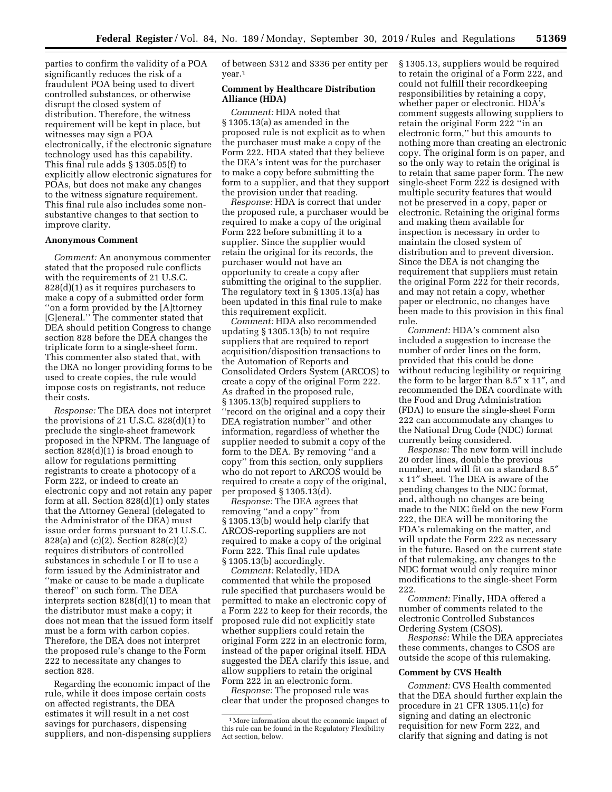parties to confirm the validity of a POA significantly reduces the risk of a fraudulent POA being used to divert controlled substances, or otherwise disrupt the closed system of distribution. Therefore, the witness requirement will be kept in place, but witnesses may sign a POA electronically, if the electronic signature technology used has this capability. This final rule adds § 1305.05(f) to explicitly allow electronic signatures for POAs, but does not make any changes to the witness signature requirement. This final rule also includes some nonsubstantive changes to that section to improve clarity.

#### **Anonymous Comment**

*Comment:* An anonymous commenter stated that the proposed rule conflicts with the requirements of 21 U.S.C. 828(d)(1) as it requires purchasers to make a copy of a submitted order form ''on a form provided by the [A]ttorney [G]eneral.'' The commenter stated that DEA should petition Congress to change section 828 before the DEA changes the triplicate form to a single-sheet form. This commenter also stated that, with the DEA no longer providing forms to be used to create copies, the rule would impose costs on registrants, not reduce their costs.

*Response:* The DEA does not interpret the provisions of 21 U.S.C. 828(d)(1) to preclude the single-sheet framework proposed in the NPRM. The language of section 828(d)(1) is broad enough to allow for regulations permitting registrants to create a photocopy of a Form 222, or indeed to create an electronic copy and not retain any paper form at all. Section 828(d)(1) only states that the Attorney General (delegated to the Administrator of the DEA) must issue order forms pursuant to 21 U.S.C. 828(a) and (c)(2). Section 828(c)(2) requires distributors of controlled substances in schedule I or II to use a form issued by the Administrator and ''make or cause to be made a duplicate thereof'' on such form. The DEA interprets section 828(d)(1) to mean that the distributor must make a copy; it does not mean that the issued form itself must be a form with carbon copies. Therefore, the DEA does not interpret the proposed rule's change to the Form 222 to necessitate any changes to section 828.

Regarding the economic impact of the rule, while it does impose certain costs on affected registrants, the DEA estimates it will result in a net cost savings for purchasers, dispensing suppliers, and non-dispensing suppliers of between \$312 and \$336 per entity per year.1

# **Comment by Healthcare Distribution Alliance (HDA)**

*Comment:* HDA noted that § 1305.13(a) as amended in the proposed rule is not explicit as to when the purchaser must make a copy of the Form 222. HDA stated that they believe the DEA's intent was for the purchaser to make a copy before submitting the form to a supplier, and that they support the provision under that reading.

*Response:* HDA is correct that under the proposed rule, a purchaser would be required to make a copy of the original Form 222 before submitting it to a supplier. Since the supplier would retain the original for its records, the purchaser would not have an opportunity to create a copy after submitting the original to the supplier. The regulatory text in § 1305.13(a) has been updated in this final rule to make this requirement explicit.

*Comment:* HDA also recommended updating § 1305.13(b) to not require suppliers that are required to report acquisition/disposition transactions to the Automation of Reports and Consolidated Orders System (ARCOS) to create a copy of the original Form 222. As drafted in the proposed rule, § 1305.13(b) required suppliers to ''record on the original and a copy their DEA registration number'' and other information, regardless of whether the supplier needed to submit a copy of the form to the DEA. By removing ''and a copy'' from this section, only suppliers who do not report to ARCOS would be required to create a copy of the original, per proposed § 1305.13(d).

*Response:* The DEA agrees that removing ''and a copy'' from § 1305.13(b) would help clarify that ARCOS-reporting suppliers are not required to make a copy of the original Form 222. This final rule updates § 1305.13(b) accordingly.

*Comment:* Relatedly, HDA commented that while the proposed rule specified that purchasers would be permitted to make an electronic copy of a Form 222 to keep for their records, the proposed rule did not explicitly state whether suppliers could retain the original Form 222 in an electronic form, instead of the paper original itself. HDA suggested the DEA clarify this issue, and allow suppliers to retain the original Form 222 in an electronic form.

*Response:* The proposed rule was clear that under the proposed changes to § 1305.13, suppliers would be required to retain the original of a Form 222, and could not fulfill their recordkeeping responsibilities by retaining a copy, whether paper or electronic. HDA's comment suggests allowing suppliers to retain the original Form 222 ''in an electronic form,'' but this amounts to nothing more than creating an electronic copy. The original form is on paper, and so the only way to retain the original is to retain that same paper form. The new single-sheet Form 222 is designed with multiple security features that would not be preserved in a copy, paper or electronic. Retaining the original forms and making them available for inspection is necessary in order to maintain the closed system of distribution and to prevent diversion. Since the DEA is not changing the requirement that suppliers must retain the original Form 222 for their records, and may not retain a copy, whether paper or electronic, no changes have been made to this provision in this final rule.

*Comment:* HDA's comment also included a suggestion to increase the number of order lines on the form, provided that this could be done without reducing legibility or requiring the form to be larger than 8.5″ x 11″, and recommended the DEA coordinate with the Food and Drug Administration (FDA) to ensure the single-sheet Form 222 can accommodate any changes to the National Drug Code (NDC) format currently being considered.

*Response:* The new form will include 20 order lines, double the previous number, and will fit on a standard 8.5″ x 11″ sheet. The DEA is aware of the pending changes to the NDC format, and, although no changes are being made to the NDC field on the new Form 222, the DEA will be monitoring the FDA's rulemaking on the matter, and will update the Form 222 as necessary in the future. Based on the current state of that rulemaking, any changes to the NDC format would only require minor modifications to the single-sheet Form 222.

*Comment:* Finally, HDA offered a number of comments related to the electronic Controlled Substances Ordering System (CSOS).

*Response:* While the DEA appreciates these comments, changes to CSOS are outside the scope of this rulemaking.

#### **Comment by CVS Health**

*Comment:* CVS Health commented that the DEA should further explain the procedure in 21 CFR 1305.11(c) for signing and dating an electronic requisition for new Form 222, and clarify that signing and dating is not

<sup>1</sup>More information about the economic impact of this rule can be found in the Regulatory Flexibility Act section, below.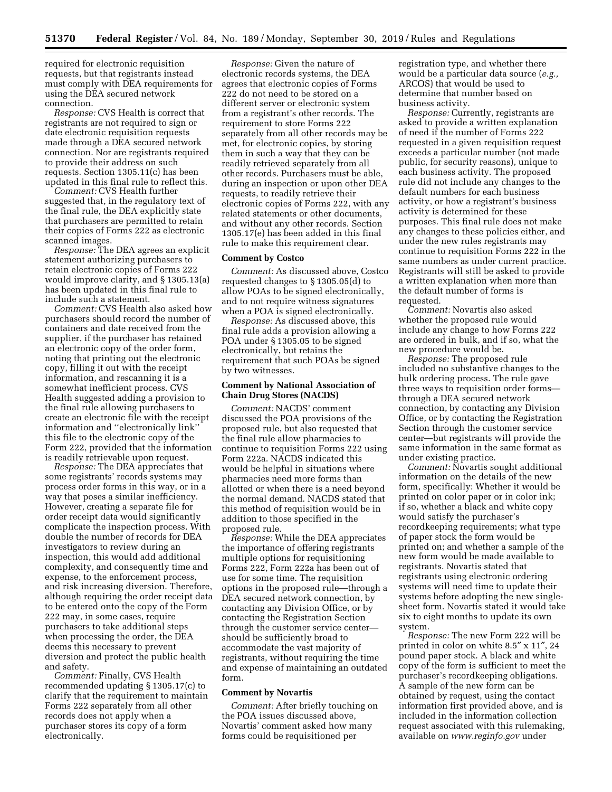required for electronic requisition requests, but that registrants instead must comply with DEA requirements for using the DEA secured network connection.

*Response:* CVS Health is correct that registrants are not required to sign or date electronic requisition requests made through a DEA secured network connection. Nor are registrants required to provide their address on such requests. Section 1305.11(c) has been updated in this final rule to reflect this.

*Comment:* CVS Health further suggested that, in the regulatory text of the final rule, the DEA explicitly state that purchasers are permitted to retain their copies of Forms 222 as electronic scanned images.

*Response:* The DEA agrees an explicit statement authorizing purchasers to retain electronic copies of Forms 222 would improve clarity, and § 1305.13(a) has been updated in this final rule to include such a statement.

*Comment:* CVS Health also asked how purchasers should record the number of containers and date received from the supplier, if the purchaser has retained an electronic copy of the order form, noting that printing out the electronic copy, filling it out with the receipt information, and rescanning it is a somewhat inefficient process. CVS Health suggested adding a provision to the final rule allowing purchasers to create an electronic file with the receipt information and ''electronically link'' this file to the electronic copy of the Form 222, provided that the information is readily retrievable upon request.

*Response:* The DEA appreciates that some registrants' records systems may process order forms in this way, or in a way that poses a similar inefficiency. However, creating a separate file for order receipt data would significantly complicate the inspection process. With double the number of records for DEA investigators to review during an inspection, this would add additional complexity, and consequently time and expense, to the enforcement process, and risk increasing diversion. Therefore, although requiring the order receipt data to be entered onto the copy of the Form 222 may, in some cases, require purchasers to take additional steps when processing the order, the DEA deems this necessary to prevent diversion and protect the public health and safety.

*Comment:* Finally, CVS Health recommended updating § 1305.17(c) to clarify that the requirement to maintain Forms 222 separately from all other records does not apply when a purchaser stores its copy of a form electronically.

*Response:* Given the nature of electronic records systems, the DEA agrees that electronic copies of Forms 222 do not need to be stored on a different server or electronic system from a registrant's other records. The requirement to store Forms 222 separately from all other records may be met, for electronic copies, by storing them in such a way that they can be readily retrieved separately from all other records. Purchasers must be able, during an inspection or upon other DEA requests, to readily retrieve their electronic copies of Forms 222, with any related statements or other documents, and without any other records. Section 1305.17(e) has been added in this final rule to make this requirement clear.

#### **Comment by Costco**

*Comment:* As discussed above, Costco requested changes to § 1305.05(d) to allow POAs to be signed electronically, and to not require witness signatures when a POA is signed electronically.

*Response:* As discussed above, this final rule adds a provision allowing a POA under § 1305.05 to be signed electronically, but retains the requirement that such POAs be signed by two witnesses.

## **Comment by National Association of Chain Drug Stores (NACDS)**

*Comment:* NACDS' comment discussed the POA provisions of the proposed rule, but also requested that the final rule allow pharmacies to continue to requisition Forms 222 using Form 222a. NACDS indicated this would be helpful in situations where pharmacies need more forms than allotted or when there is a need beyond the normal demand. NACDS stated that this method of requisition would be in addition to those specified in the proposed rule.

*Response:* While the DEA appreciates the importance of offering registrants multiple options for requisitioning Forms 222, Form 222a has been out of use for some time. The requisition options in the proposed rule—through a DEA secured network connection, by contacting any Division Office, or by contacting the Registration Section through the customer service center should be sufficiently broad to accommodate the vast majority of registrants, without requiring the time and expense of maintaining an outdated form.

#### **Comment by Novartis**

*Comment:* After briefly touching on the POA issues discussed above, Novartis' comment asked how many forms could be requisitioned per

registration type, and whether there would be a particular data source (*e.g.,*  ARCOS) that would be used to determine that number based on business activity.

*Response:* Currently, registrants are asked to provide a written explanation of need if the number of Forms 222 requested in a given requisition request exceeds a particular number (not made public, for security reasons), unique to each business activity. The proposed rule did not include any changes to the default numbers for each business activity, or how a registrant's business activity is determined for these purposes. This final rule does not make any changes to these policies either, and under the new rules registrants may continue to requisition Forms 222 in the same numbers as under current practice. Registrants will still be asked to provide a written explanation when more than the default number of forms is requested.

*Comment:* Novartis also asked whether the proposed rule would include any change to how Forms 222 are ordered in bulk, and if so, what the new procedure would be.

*Response:* The proposed rule included no substantive changes to the bulk ordering process. The rule gave three ways to requisition order forms through a DEA secured network connection, by contacting any Division Office, or by contacting the Registration Section through the customer service center—but registrants will provide the same information in the same format as under existing practice.

*Comment:* Novartis sought additional information on the details of the new form, specifically: Whether it would be printed on color paper or in color ink; if so, whether a black and white copy would satisfy the purchaser's recordkeeping requirements; what type of paper stock the form would be printed on; and whether a sample of the new form would be made available to registrants. Novartis stated that registrants using electronic ordering systems will need time to update their systems before adopting the new singlesheet form. Novartis stated it would take six to eight months to update its own system.

*Response:* The new Form 222 will be printed in color on white 8.5″ x 11″, 24 pound paper stock. A black and white copy of the form is sufficient to meet the purchaser's recordkeeping obligations. A sample of the new form can be obtained by request, using the contact information first provided above, and is included in the information collection request associated with this rulemaking, available on *[www.reginfo.gov](http://www.reginfo.gov)* under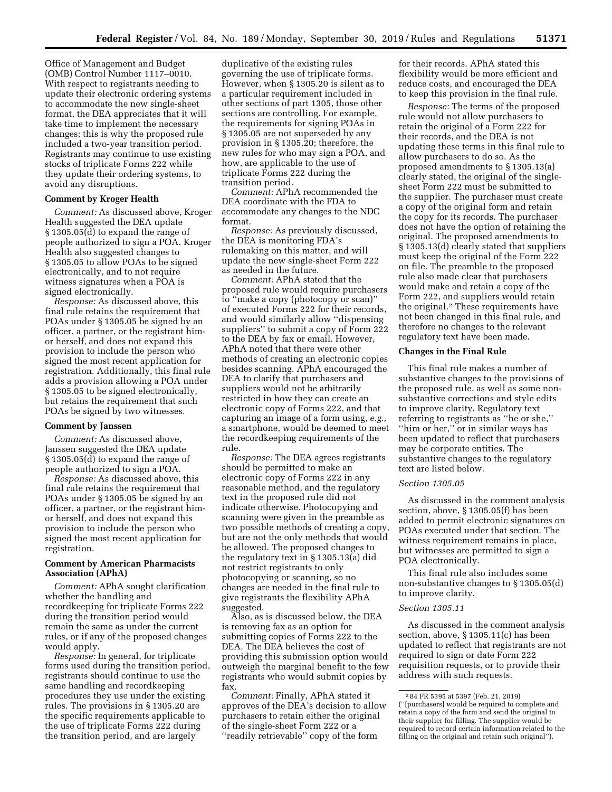Office of Management and Budget (OMB) Control Number 1117–0010. With respect to registrants needing to update their electronic ordering systems to accommodate the new single-sheet format, the DEA appreciates that it will take time to implement the necessary changes; this is why the proposed rule included a two-year transition period. Registrants may continue to use existing stocks of triplicate Forms 222 while they update their ordering systems, to avoid any disruptions.

# **Comment by Kroger Health**

*Comment:* As discussed above, Kroger Health suggested the DEA update § 1305.05(d) to expand the range of people authorized to sign a POA. Kroger Health also suggested changes to § 1305.05 to allow POAs to be signed electronically, and to not require witness signatures when a POA is signed electronically.

*Response:* As discussed above, this final rule retains the requirement that POAs under § 1305.05 be signed by an officer, a partner, or the registrant himor herself, and does not expand this provision to include the person who signed the most recent application for registration. Additionally, this final rule adds a provision allowing a POA under § 1305.05 to be signed electronically, but retains the requirement that such POAs be signed by two witnesses.

#### **Comment by Janssen**

*Comment:* As discussed above, Janssen suggested the DEA update § 1305.05(d) to expand the range of people authorized to sign a POA.

*Response:* As discussed above, this final rule retains the requirement that POAs under § 1305.05 be signed by an officer, a partner, or the registrant himor herself, and does not expand this provision to include the person who signed the most recent application for registration.

## **Comment by American Pharmacists Association (APhA)**

*Comment:* APhA sought clarification whether the handling and recordkeeping for triplicate Forms 222 during the transition period would remain the same as under the current rules, or if any of the proposed changes would apply.

*Response:* In general, for triplicate forms used during the transition period, registrants should continue to use the same handling and recordkeeping procedures they use under the existing rules. The provisions in § 1305.20 are the specific requirements applicable to the use of triplicate Forms 222 during the transition period, and are largely

duplicative of the existing rules governing the use of triplicate forms. However, when § 1305.20 is silent as to a particular requirement included in other sections of part 1305, those other sections are controlling. For example, the requirements for signing POAs in § 1305.05 are not superseded by any provision in § 1305.20; therefore, the new rules for who may sign a POA, and how, are applicable to the use of triplicate Forms 222 during the transition period.

*Comment:* APhA recommended the DEA coordinate with the FDA to accommodate any changes to the NDC format.

*Response:* As previously discussed, the DEA is monitoring FDA's rulemaking on this matter, and will update the new single-sheet Form 222 as needed in the future.

*Comment:* APhA stated that the proposed rule would require purchasers to ''make a copy (photocopy or scan)'' of executed Forms 222 for their records, and would similarly allow ''dispensing suppliers'' to submit a copy of Form 222 to the DEA by fax or email. However, APhA noted that there were other methods of creating an electronic copies besides scanning. APhA encouraged the DEA to clarify that purchasers and suppliers would not be arbitrarily restricted in how they can create an electronic copy of Forms 222, and that capturing an image of a form using, *e.g.,*  a smartphone, would be deemed to meet the recordkeeping requirements of the rule.

*Response:* The DEA agrees registrants should be permitted to make an electronic copy of Forms 222 in any reasonable method, and the regulatory text in the proposed rule did not indicate otherwise. Photocopying and scanning were given in the preamble as two possible methods of creating a copy, but are not the only methods that would be allowed. The proposed changes to the regulatory text in § 1305.13(a) did not restrict registrants to only photocopying or scanning, so no changes are needed in the final rule to give registrants the flexibility APhA suggested.

Also, as is discussed below, the DEA is removing fax as an option for submitting copies of Forms 222 to the DEA. The DEA believes the cost of providing this submission option would outweigh the marginal benefit to the few registrants who would submit copies by fax.

*Comment:* Finally, APhA stated it approves of the DEA's decision to allow purchasers to retain either the original of the single-sheet Form 222 or a ''readily retrievable'' copy of the form

for their records. APhA stated this flexibility would be more efficient and reduce costs, and encouraged the DEA to keep this provision in the final rule.

*Response:* The terms of the proposed rule would not allow purchasers to retain the original of a Form 222 for their records, and the DEA is not updating these terms in this final rule to allow purchasers to do so. As the proposed amendments to § 1305.13(a) clearly stated, the original of the singlesheet Form 222 must be submitted to the supplier. The purchaser must create a copy of the original form and retain the copy for its records. The purchaser does not have the option of retaining the original. The proposed amendments to § 1305.13(d) clearly stated that suppliers must keep the original of the Form 222 on file. The preamble to the proposed rule also made clear that purchasers would make and retain a copy of the Form 222, and suppliers would retain the original.2 These requirements have not been changed in this final rule, and therefore no changes to the relevant regulatory text have been made.

# **Changes in the Final Rule**

This final rule makes a number of substantive changes to the provisions of the proposed rule, as well as some nonsubstantive corrections and style edits to improve clarity. Regulatory text referring to registrants as ''he or she,'' ''him or her,'' or in similar ways has been updated to reflect that purchasers may be corporate entities. The substantive changes to the regulatory text are listed below.

#### *Section 1305.05*

As discussed in the comment analysis section, above, § 1305.05(f) has been added to permit electronic signatures on POAs executed under that section. The witness requirement remains in place, but witnesses are permitted to sign a POA electronically.

This final rule also includes some non-substantive changes to § 1305.05(d) to improve clarity.

# *Section 1305.11*

As discussed in the comment analysis section, above, § 1305.11(c) has been updated to reflect that registrants are not required to sign or date Form 222 requisition requests, or to provide their address with such requests.

<sup>2</sup> 84 FR 5395 at 5397 (Feb. 21, 2019) (''[purchasers] would be required to complete and retain a copy of the form and send the original to their supplier for filling. The supplier would be required to record certain information related to the filling on the original and retain such original'').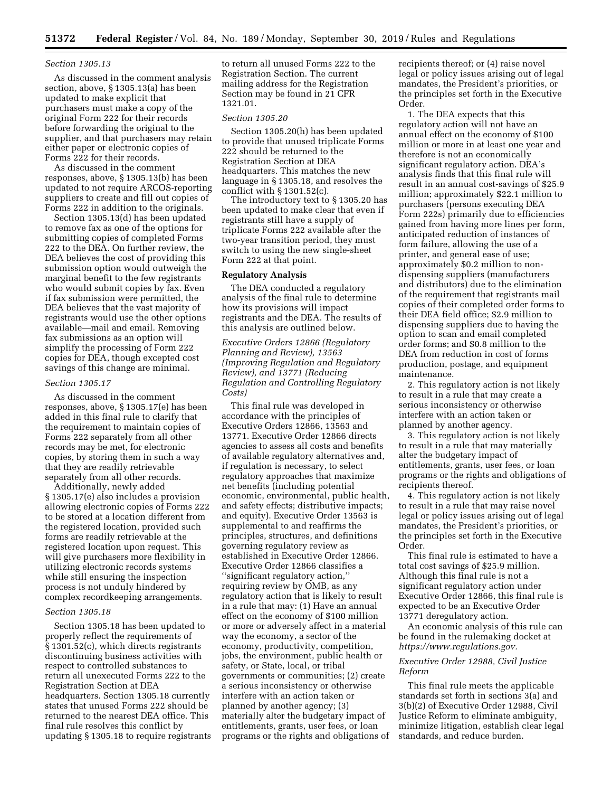#### *Section 1305.13*

As discussed in the comment analysis section, above, § 1305.13(a) has been updated to make explicit that purchasers must make a copy of the original Form 222 for their records before forwarding the original to the supplier, and that purchasers may retain either paper or electronic copies of Forms 222 for their records.

As discussed in the comment responses, above, § 1305.13(b) has been updated to not require ARCOS-reporting suppliers to create and fill out copies of Forms 222 in addition to the originals.

Section 1305.13(d) has been updated to remove fax as one of the options for submitting copies of completed Forms 222 to the DEA. On further review, the DEA believes the cost of providing this submission option would outweigh the marginal benefit to the few registrants who would submit copies by fax. Even if fax submission were permitted, the DEA believes that the vast majority of registrants would use the other options available—mail and email. Removing fax submissions as an option will simplify the processing of Form 222 copies for DEA, though excepted cost savings of this change are minimal.

# *Section 1305.17*

As discussed in the comment responses, above, § 1305.17(e) has been added in this final rule to clarify that the requirement to maintain copies of Forms 222 separately from all other records may be met, for electronic copies, by storing them in such a way that they are readily retrievable separately from all other records.

Additionally, newly added § 1305.17(e) also includes a provision allowing electronic copies of Forms 222 to be stored at a location different from the registered location, provided such forms are readily retrievable at the registered location upon request. This will give purchasers more flexibility in utilizing electronic records systems while still ensuring the inspection process is not unduly hindered by complex recordkeeping arrangements.

# *Section 1305.18*

Section 1305.18 has been updated to properly reflect the requirements of § 1301.52(c), which directs registrants discontinuing business activities with respect to controlled substances to return all unexecuted Forms 222 to the Registration Section at DEA headquarters. Section 1305.18 currently states that unused Forms 222 should be returned to the nearest DEA office. This final rule resolves this conflict by updating § 1305.18 to require registrants to return all unused Forms 222 to the Registration Section. The current mailing address for the Registration Section may be found in 21 CFR 1321.01.

#### *Section 1305.20*

Section 1305.20(h) has been updated to provide that unused triplicate Forms 222 should be returned to the Registration Section at DEA headquarters. This matches the new language in § 1305.18, and resolves the conflict with § 1301.52(c).

The introductory text to § 1305.20 has been updated to make clear that even if registrants still have a supply of triplicate Forms 222 available after the two-year transition period, they must switch to using the new single-sheet Form 222 at that point.

## **Regulatory Analysis**

The DEA conducted a regulatory analysis of the final rule to determine how its provisions will impact registrants and the DEA. The results of this analysis are outlined below.

*Executive Orders 12866 (Regulatory Planning and Review), 13563 (Improving Regulation and Regulatory Review), and 13771 (Reducing Regulation and Controlling Regulatory Costs)* 

This final rule was developed in accordance with the principles of Executive Orders 12866, 13563 and 13771. Executive Order 12866 directs agencies to assess all costs and benefits of available regulatory alternatives and, if regulation is necessary, to select regulatory approaches that maximize net benefits (including potential economic, environmental, public health, and safety effects; distributive impacts; and equity). Executive Order 13563 is supplemental to and reaffirms the principles, structures, and definitions governing regulatory review as established in Executive Order 12866. Executive Order 12866 classifies a ''significant regulatory action,'' requiring review by OMB, as any regulatory action that is likely to result in a rule that may: (1) Have an annual effect on the economy of \$100 million or more or adversely affect in a material way the economy, a sector of the economy, productivity, competition, jobs, the environment, public health or safety, or State, local, or tribal governments or communities; (2) create a serious inconsistency or otherwise interfere with an action taken or planned by another agency; (3) materially alter the budgetary impact of entitlements, grants, user fees, or loan programs or the rights and obligations of

recipients thereof; or (4) raise novel legal or policy issues arising out of legal mandates, the President's priorities, or the principles set forth in the Executive Order.

1. The DEA expects that this regulatory action will not have an annual effect on the economy of \$100 million or more in at least one year and therefore is not an economically significant regulatory action. DEA's analysis finds that this final rule will result in an annual cost-savings of \$25.9 million; approximately \$22.1 million to purchasers (persons executing DEA Form 222s) primarily due to efficiencies gained from having more lines per form, anticipated reduction of instances of form failure, allowing the use of a printer, and general ease of use; approximately \$0.2 million to nondispensing suppliers (manufacturers and distributors) due to the elimination of the requirement that registrants mail copies of their completed order forms to their DEA field office; \$2.9 million to dispensing suppliers due to having the option to scan and email completed order forms; and \$0.8 million to the DEA from reduction in cost of forms production, postage, and equipment maintenance.

2. This regulatory action is not likely to result in a rule that may create a serious inconsistency or otherwise interfere with an action taken or planned by another agency.

3. This regulatory action is not likely to result in a rule that may materially alter the budgetary impact of entitlements, grants, user fees, or loan programs or the rights and obligations of recipients thereof.

4. This regulatory action is not likely to result in a rule that may raise novel legal or policy issues arising out of legal mandates, the President's priorities, or the principles set forth in the Executive Order.

This final rule is estimated to have a total cost savings of \$25.9 million. Although this final rule is not a significant regulatory action under Executive Order 12866, this final rule is expected to be an Executive Order 13771 deregulatory action.

An economic analysis of this rule can be found in the rulemaking docket at *[https://www.regulations.gov.](https://www.regulations.gov)* 

## *Executive Order 12988, Civil Justice Reform*

This final rule meets the applicable standards set forth in sections 3(a) and 3(b)(2) of Executive Order 12988, Civil Justice Reform to eliminate ambiguity, minimize litigation, establish clear legal standards, and reduce burden.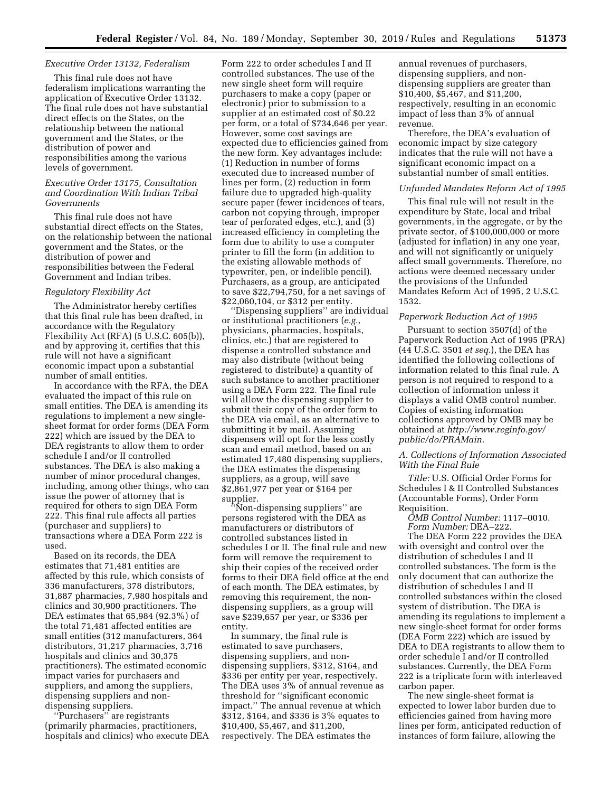## *Executive Order 13132, Federalism*

This final rule does not have federalism implications warranting the application of Executive Order 13132. The final rule does not have substantial direct effects on the States, on the relationship between the national government and the States, or the distribution of power and responsibilities among the various levels of government.

## *Executive Order 13175, Consultation and Coordination With Indian Tribal Governments*

This final rule does not have substantial direct effects on the States, on the relationship between the national government and the States, or the distribution of power and responsibilities between the Federal Government and Indian tribes.

## *Regulatory Flexibility Act*

The Administrator hereby certifies that this final rule has been drafted, in accordance with the Regulatory Flexibility Act (RFA) (5 U.S.C. 605(b)), and by approving it, certifies that this rule will not have a significant economic impact upon a substantial number of small entities.

In accordance with the RFA, the DEA evaluated the impact of this rule on small entities. The DEA is amending its regulations to implement a new singlesheet format for order forms (DEA Form 222) which are issued by the DEA to DEA registrants to allow them to order schedule I and/or II controlled substances. The DEA is also making a number of minor procedural changes, including, among other things, who can issue the power of attorney that is required for others to sign DEA Form 222. This final rule affects all parties (purchaser and suppliers) to transactions where a DEA Form 222 is used.

Based on its records, the DEA estimates that 71,481 entities are affected by this rule, which consists of 336 manufacturers, 378 distributors, 31,887 pharmacies, 7,980 hospitals and clinics and 30,900 practitioners. The DEA estimates that 65,984 (92.3%) of the total 71,481 affected entities are small entities (312 manufacturers, 364 distributors, 31,217 pharmacies, 3,716 hospitals and clinics and 30,375 practitioners). The estimated economic impact varies for purchasers and suppliers, and among the suppliers, dispensing suppliers and nondispensing suppliers.

''Purchasers'' are registrants (primarily pharmacies, practitioners, hospitals and clinics) who execute DEA Form 222 to order schedules I and II controlled substances. The use of the new single sheet form will require purchasers to make a copy (paper or electronic) prior to submission to a supplier at an estimated cost of \$0.22 per form, or a total of \$734,646 per year. However, some cost savings are expected due to efficiencies gained from the new form. Key advantages include: (1) Reduction in number of forms executed due to increased number of lines per form, (2) reduction in form failure due to upgraded high-quality secure paper (fewer incidences of tears, carbon not copying through, improper tear of perforated edges, etc.), and (3) increased efficiency in completing the form due to ability to use a computer printer to fill the form (in addition to the existing allowable methods of typewriter, pen, or indelible pencil). Purchasers, as a group, are anticipated to save \$22,794,750, for a net savings of \$22,060,104, or \$312 per entity.

'Dispensing suppliers'' are individual or institutional practitioners (*e.g.,*  physicians, pharmacies, hospitals, clinics, etc.) that are registered to dispense a controlled substance and may also distribute (without being registered to distribute) a quantity of such substance to another practitioner using a DEA Form 222. The final rule will allow the dispensing supplier to submit their copy of the order form to the DEA via email, as an alternative to submitting it by mail. Assuming dispensers will opt for the less costly scan and email method, based on an estimated 17,480 dispensing suppliers, the DEA estimates the dispensing suppliers, as a group, will save \$2,861,977 per year or \$164 per supplier.

''Non-dispensing suppliers'' are persons registered with the DEA as manufacturers or distributors of controlled substances listed in schedules I or II. The final rule and new form will remove the requirement to ship their copies of the received order forms to their DEA field office at the end of each month. The DEA estimates, by removing this requirement, the nondispensing suppliers, as a group will save \$239,657 per year, or \$336 per entity.

In summary, the final rule is estimated to save purchasers, dispensing suppliers, and nondispensing suppliers, \$312, \$164, and \$336 per entity per year, respectively. The DEA uses 3% of annual revenue as threshold for ''significant economic impact.'' The annual revenue at which \$312, \$164, and \$336 is 3% equates to \$10,400, \$5,467, and \$11,200, respectively. The DEA estimates the

annual revenues of purchasers, dispensing suppliers, and nondispensing suppliers are greater than \$10,400, \$5,467, and \$11,200, respectively, resulting in an economic impact of less than 3% of annual revenue.

Therefore, the DEA's evaluation of economic impact by size category indicates that the rule will not have a significant economic impact on a substantial number of small entities.

#### *Unfunded Mandates Reform Act of 1995*

This final rule will not result in the expenditure by State, local and tribal governments, in the aggregate, or by the private sector, of \$100,000,000 or more (adjusted for inflation) in any one year, and will not significantly or uniquely affect small governments. Therefore, no actions were deemed necessary under the provisions of the Unfunded Mandates Reform Act of 1995, 2 U.S.C. 1532.

#### *Paperwork Reduction Act of 1995*

Pursuant to section 3507(d) of the Paperwork Reduction Act of 1995 (PRA) (44 U.S.C. 3501 *et seq.*), the DEA has identified the following collections of information related to this final rule. A person is not required to respond to a collection of information unless it displays a valid OMB control number. Copies of existing information collections approved by OMB may be obtained at *[http://www.reginfo.gov/](http://www.reginfo.gov/public/do/PRAMain)  [public/do/PRAMain.](http://www.reginfo.gov/public/do/PRAMain)* 

## *A. Collections of Information Associated With the Final Rule*

*Title:* U.S. Official Order Forms for Schedules I & II Controlled Substances (Accountable Forms), Order Form Requisition.

*OMB Control Number:* 1117–0010. *Form Number:* DEA–222.

The DEA Form 222 provides the DEA with oversight and control over the distribution of schedules I and II controlled substances. The form is the only document that can authorize the distribution of schedules I and II controlled substances within the closed system of distribution. The DEA is amending its regulations to implement a new single-sheet format for order forms (DEA Form 222) which are issued by DEA to DEA registrants to allow them to order schedule I and/or II controlled substances. Currently, the DEA Form 222 is a triplicate form with interleaved carbon paper.

The new single-sheet format is expected to lower labor burden due to efficiencies gained from having more lines per form, anticipated reduction of instances of form failure, allowing the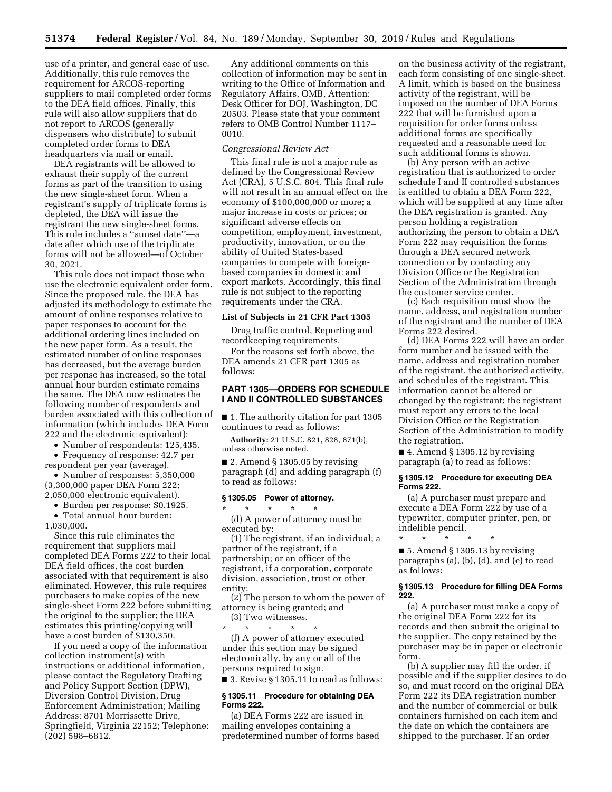use of a printer, and general ease of use. Additionally, this rule removes the requirement for ARCOS-reporting suppliers to mail completed order forms to the DEA field offices. Finally, this rule will also allow suppliers that do not report to ARCOS (generally dispensers who distribute) to submit completed order forms to DEA headquarters via mail or email.

DEA registrants will be allowed to exhaust their supply of the current forms as part of the transition to using the new single-sheet form. When a registrant's supply of triplicate forms is depleted, the DEA will issue the registrant the new single-sheet forms. This rule includes a ''sunset date''—a date after which use of the triplicate forms will not be allowed—of October 30, 2021.

This rule does not impact those who use the electronic equivalent order form. Since the proposed rule, the DEA has adjusted its methodology to estimate the amount of online responses relative to paper responses to account for the additional ordering lines included on the new paper form. As a result, the estimated number of online responses has decreased, but the average burden per response has increased, so the total annual hour burden estimate remains the same. The DEA now estimates the following number of respondents and burden associated with this collection of information (which includes DEA Form 222 and the electronic equivalent):

• Number of respondents: 125,435.

• Frequency of response: 42.7 per respondent per year (average).

• Number of responses: 5,350,000 (3,300,000 paper DEA Form 222; 2,050,000 electronic equivalent).

• Burden per response: \$0.1925.

• Total annual hour burden:

1,030,000.

Since this rule eliminates the requirement that suppliers mail completed DEA Forms 222 to their local DEA field offices, the cost burden associated with that requirement is also eliminated. However, this rule requires purchasers to make copies of the new single-sheet Form 222 before submitting the original to the supplier; the DEA estimates this printing/copying will have a cost burden of \$130,350.

If you need a copy of the information collection instrument(s) with instructions or additional information, please contact the Regulatory Drafting and Policy Support Section (DPW), Diversion Control Division, Drug Enforcement Administration; Mailing Address: 8701 Morrissette Drive, Springfield, Virginia 22152; Telephone: (202) 598–6812.

Any additional comments on this collection of information may be sent in writing to the Office of Information and Regulatory Affairs, OMB, Attention: Desk Officer for DOJ, Washington, DC 20503. Please state that your comment refers to OMB Control Number 1117– 0010.

#### *Congressional Review Act*

This final rule is not a major rule as defined by the Congressional Review Act (CRA), 5 U.S.C. 804. This final rule will not result in an annual effect on the economy of \$100,000,000 or more; a major increase in costs or prices; or significant adverse effects on competition, employment, investment, productivity, innovation, or on the ability of United States-based companies to compete with foreignbased companies in domestic and export markets. Accordingly, this final rule is not subject to the reporting requirements under the CRA.

#### **List of Subjects in 21 CFR Part 1305**

Drug traffic control, Reporting and recordkeeping requirements.

For the reasons set forth above, the DEA amends 21 CFR part 1305 as follows:

# **PART 1305—ORDERS FOR SCHEDULE I AND II CONTROLLED SUBSTANCES**

■ 1. The authority citation for part 1305 continues to read as follows:

**Authority:** 21 U.S.C. 821, 828, 871(b), unless otherwise noted.

■ 2. Amend § 1305.05 by revising paragraph (d) and adding paragraph (f) to read as follows:

# **§ 1305.05 Power of attorney.**

\* \* \* \* \* (d) A power of attorney must be executed by:

(1) The registrant, if an individual; a partner of the registrant, if a partnership; or an officer of the registrant, if a corporation, corporate division, association, trust or other entity;

(2) The person to whom the power of attorney is being granted; and

(3) Two witnesses. \* \* \* \* \*

(f) A power of attorney executed under this section may be signed electronically, by any or all of the persons required to sign.

■ 3. Revise § 1305.11 to read as follows:

#### **§ 1305.11 Procedure for obtaining DEA Forms 222.**

(a) DEA Forms 222 are issued in mailing envelopes containing a predetermined number of forms based on the business activity of the registrant, each form consisting of one single-sheet. A limit, which is based on the business activity of the registrant, will be imposed on the number of DEA Forms 222 that will be furnished upon a requisition for order forms unless additional forms are specifically requested and a reasonable need for such additional forms is shown.

(b) Any person with an active registration that is authorized to order schedule I and II controlled substances is entitled to obtain a DEA Form 222, which will be supplied at any time after the DEA registration is granted. Any person holding a registration authorizing the person to obtain a DEA Form 222 may requisition the forms through a DEA secured network connection or by contacting any Division Office or the Registration Section of the Administration through the customer service center.

(c) Each requisition must show the name, address, and registration number of the registrant and the number of DEA Forms 222 desired.

(d) DEA Forms 222 will have an order form number and be issued with the name, address and registration number of the registrant, the authorized activity, and schedules of the registrant. This information cannot be altered or changed by the registrant; the registrant must report any errors to the local Division Office or the Registration Section of the Administration to modify the registration.

 $\blacksquare$  4. Amend § 1305.12 by revising paragraph (a) to read as follows:

#### **§ 1305.12 Procedure for executing DEA Forms 222.**

(a) A purchaser must prepare and execute a DEA Form 222 by use of a typewriter, computer printer, pen, or indelible pencil.

\* \* \* \* \*

 $\blacksquare$  5. Amend § 1305.13 by revising paragraphs (a), (b), (d), and (e) to read as follows:

### **§ 1305.13 Procedure for filling DEA Forms 222.**

(a) A purchaser must make a copy of the original DEA Form 222 for its records and then submit the original to the supplier. The copy retained by the purchaser may be in paper or electronic form.

(b) A supplier may fill the order, if possible and if the supplier desires to do so, and must record on the original DEA Form 222 its DEA registration number and the number of commercial or bulk containers furnished on each item and the date on which the containers are shipped to the purchaser. If an order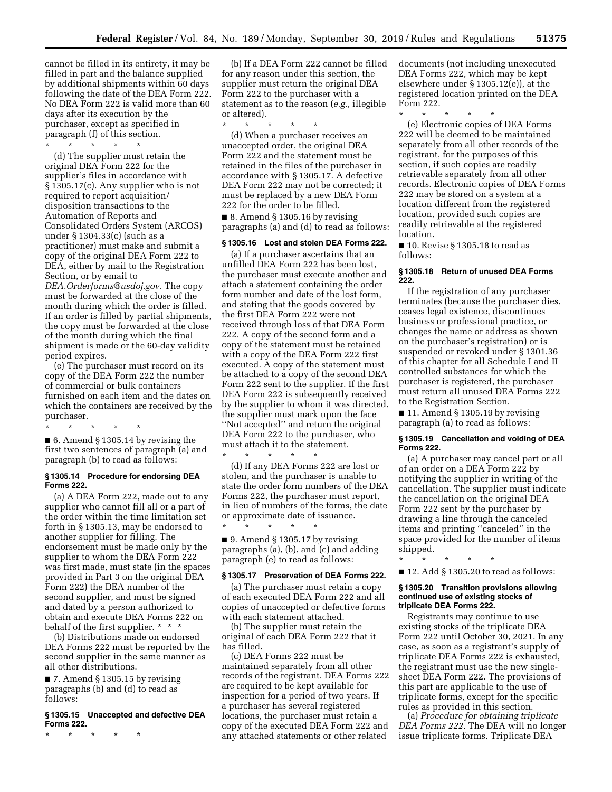cannot be filled in its entirety, it may be filled in part and the balance supplied by additional shipments within 60 days following the date of the DEA Form 222. No DEA Form 222 is valid more than 60 days after its execution by the purchaser, except as specified in paragraph (f) of this section.

\* \* \* \* \* (d) The supplier must retain the original DEA Form 222 for the supplier's files in accordance with § 1305.17(c). Any supplier who is not required to report acquisition/ disposition transactions to the Automation of Reports and Consolidated Orders System (ARCOS) under § 1304.33(c) (such as a practitioner) must make and submit a copy of the original DEA Form 222 to DEA, either by mail to the Registration Section, or by email to *[DEA.Orderforms@usdoj.gov.](mailto:DEA.Orderforms@usdoj.gov)* The copy must be forwarded at the close of the month during which the order is filled. If an order is filled by partial shipments, the copy must be forwarded at the close of the month during which the final shipment is made or the 60-day validity period expires.

(e) The purchaser must record on its copy of the DEA Form 222 the number of commercial or bulk containers furnished on each item and the dates on which the containers are received by the purchaser.

\* \* \* \* \* ■ 6. Amend § 1305.14 by revising the first two sentences of paragraph (a) and paragraph (b) to read as follows:

#### **§ 1305.14 Procedure for endorsing DEA Forms 222.**

(a) A DEA Form 222, made out to any supplier who cannot fill all or a part of the order within the time limitation set forth in § 1305.13, may be endorsed to another supplier for filling. The endorsement must be made only by the supplier to whom the DEA Form 222 was first made, must state (in the spaces provided in Part 3 on the original DEA Form 222) the DEA number of the second supplier, and must be signed and dated by a person authorized to obtain and execute DEA Forms 222 on behalf of the first supplier. \* \* \*

(b) Distributions made on endorsed DEA Forms 222 must be reported by the second supplier in the same manner as all other distributions.

 $\blacksquare$  7. Amend § 1305.15 by revising paragraphs (b) and (d) to read as follows:

#### **§ 1305.15 Unaccepted and defective DEA Forms 222.**

\* \* \* \* \*

(b) If a DEA Form 222 cannot be filled for any reason under this section, the supplier must return the original DEA Form 222 to the purchaser with a statement as to the reason (*e.g.,* illegible or altered).

\* \* \* \* \*

(d) When a purchaser receives an unaccepted order, the original DEA Form 222 and the statement must be retained in the files of the purchaser in accordance with § 1305.17. A defective DEA Form 222 may not be corrected; it must be replaced by a new DEA Form 222 for the order to be filled.

 $\blacksquare$  8. Amend § 1305.16 by revising paragraphs (a) and (d) to read as follows:

## **§ 1305.16 Lost and stolen DEA Forms 222.**

(a) If a purchaser ascertains that an unfilled DEA Form 222 has been lost, the purchaser must execute another and attach a statement containing the order form number and date of the lost form, and stating that the goods covered by the first DEA Form 222 were not received through loss of that DEA Form 222. A copy of the second form and a copy of the statement must be retained with a copy of the DEA Form 222 first executed. A copy of the statement must be attached to a copy of the second DEA Form 222 sent to the supplier. If the first DEA Form 222 is subsequently received by the supplier to whom it was directed, the supplier must mark upon the face ''Not accepted'' and return the original DEA Form 222 to the purchaser, who must attach it to the statement.

\* \* \* \* \* (d) If any DEA Forms 222 are lost or stolen, and the purchaser is unable to state the order form numbers of the DEA Forms 222, the purchaser must report, in lieu of numbers of the forms, the date or approximate date of issuance. \* \* \* \* \*

■ 9. Amend § 1305.17 by revising paragraphs (a), (b), and (c) and adding paragraph (e) to read as follows:

## **§ 1305.17 Preservation of DEA Forms 222.**

(a) The purchaser must retain a copy of each executed DEA Form 222 and all copies of unaccepted or defective forms with each statement attached.

(b) The supplier must retain the original of each DEA Form 222 that it has filled.

(c) DEA Forms 222 must be maintained separately from all other records of the registrant. DEA Forms 222 are required to be kept available for inspection for a period of two years. If a purchaser has several registered locations, the purchaser must retain a copy of the executed DEA Form 222 and any attached statements or other related

documents (not including unexecuted DEA Forms 222, which may be kept elsewhere under § 1305.12(e)), at the registered location printed on the DEA Form 222.

\* \* \* \* \*

(e) Electronic copies of DEA Forms 222 will be deemed to be maintained separately from all other records of the registrant, for the purposes of this section, if such copies are readily retrievable separately from all other records. Electronic copies of DEA Forms 222 may be stored on a system at a location different from the registered location, provided such copies are readily retrievable at the registered location.

■ 10. Revise § 1305.18 to read as follows:

## **§ 1305.18 Return of unused DEA Forms 222.**

If the registration of any purchaser terminates (because the purchaser dies, ceases legal existence, discontinues business or professional practice, or changes the name or address as shown on the purchaser's registration) or is suspended or revoked under § 1301.36 of this chapter for all Schedule I and II controlled substances for which the purchaser is registered, the purchaser must return all unused DEA Forms 222 to the Registration Section.

 $\blacksquare$  11. Amend § 1305.19 by revising paragraph (a) to read as follows:

# **§ 1305.19 Cancellation and voiding of DEA Forms 222.**

(a) A purchaser may cancel part or all of an order on a DEA Form 222 by notifying the supplier in writing of the cancellation. The supplier must indicate the cancellation on the original DEA Form 222 sent by the purchaser by drawing a line through the canceled items and printing ''canceled'' in the space provided for the number of items shipped.

\* \* \* \* \*

■ 12. Add § 1305.20 to read as follows:

#### **§ 1305.20 Transition provisions allowing continued use of existing stocks of triplicate DEA Forms 222.**

Registrants may continue to use existing stocks of the triplicate DEA Form 222 until October 30, 2021. In any case, as soon as a registrant's supply of triplicate DEA Forms 222 is exhausted, the registrant must use the new singlesheet DEA Form 222. The provisions of this part are applicable to the use of triplicate forms, except for the specific rules as provided in this section.

(a) *Procedure for obtaining triplicate DEA Forms 222.* The DEA will no longer issue triplicate forms. Triplicate DEA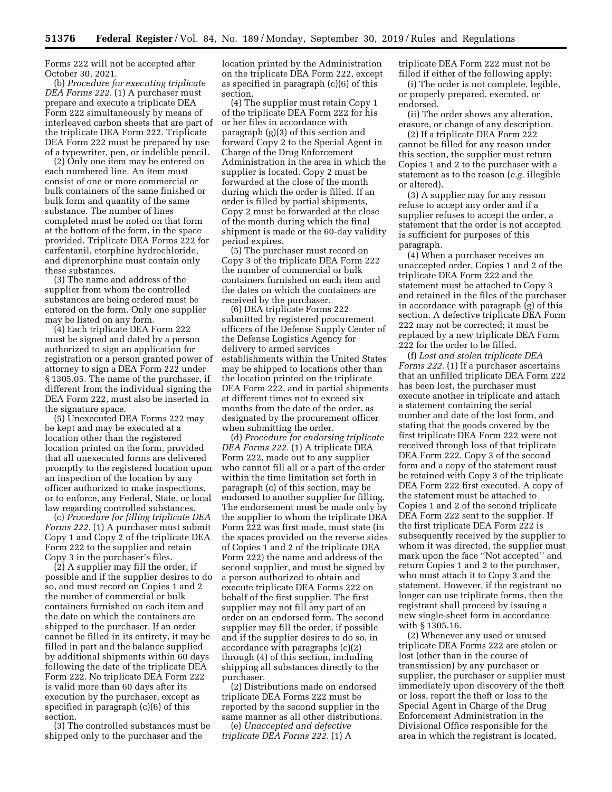Forms 222 will not be accepted after October 30, 2021.

(b) *Procedure for executing triplicate DEA Forms 222.* (1) A purchaser must prepare and execute a triplicate DEA Form 222 simultaneously by means of interleaved carbon sheets that are part of the triplicate DEA Form 222. Triplicate DEA Form 222 must be prepared by use of a typewriter, pen, or indelible pencil.

(2) Only one item may be entered on each numbered line. An item must consist of one or more commercial or bulk containers of the same finished or bulk form and quantity of the same substance. The number of lines completed must be noted on that form at the bottom of the form, in the space provided. Triplicate DEA Forms 222 for carfentanil, etorphine hydrochloride, and diprenorphine must contain only these substances.

(3) The name and address of the supplier from whom the controlled substances are being ordered must be entered on the form. Only one supplier may be listed on any form.

(4) Each triplicate DEA Form 222 must be signed and dated by a person authorized to sign an application for registration or a person granted power of attorney to sign a DEA Form 222 under § 1305.05. The name of the purchaser, if different from the individual signing the DEA Form 222, must also be inserted in the signature space.

(5) Unexecuted DEA Forms 222 may be kept and may be executed at a location other than the registered location printed on the form, provided that all unexecuted forms are delivered promptly to the registered location upon an inspection of the location by any officer authorized to make inspections, or to enforce, any Federal, State, or local law regarding controlled substances.

(c) *Procedure for filling triplicate DEA Forms 222.* (1) A purchaser must submit Copy 1 and Copy 2 of the triplicate DEA Form 222 to the supplier and retain Copy 3 in the purchaser's files.

(2) A supplier may fill the order, if possible and if the supplier desires to do so, and must record on Copies 1 and 2 the number of commercial or bulk containers furnished on each item and the date on which the containers are shipped to the purchaser. If an order cannot be filled in its entirety, it may be filled in part and the balance supplied by additional shipments within 60 days following the date of the triplicate DEA Form 222. No triplicate DEA Form 222 is valid more than 60 days after its execution by the purchaser, except as specified in paragraph (c)(6) of this section.

(3) The controlled substances must be shipped only to the purchaser and the

location printed by the Administration on the triplicate DEA Form 222, except as specified in paragraph (c)(6) of this section.

(4) The supplier must retain Copy 1 of the triplicate DEA Form 222 for his or her files in accordance with paragraph (g)(3) of this section and forward Copy 2 to the Special Agent in Charge of the Drug Enforcement Administration in the area in which the supplier is located. Copy 2 must be forwarded at the close of the month during which the order is filled. If an order is filled by partial shipments, Copy 2 must be forwarded at the close of the month during which the final shipment is made or the 60-day validity period expires.

(5) The purchaser must record on Copy 3 of the triplicate DEA Form 222 the number of commercial or bulk containers furnished on each item and the dates on which the containers are received by the purchaser.

(6) DEA triplicate Forms 222 submitted by registered procurement officers of the Defense Supply Center of the Defense Logistics Agency for delivery to armed services establishments within the United States may be shipped to locations other than the location printed on the triplicate DEA Form 222, and in partial shipments at different times not to exceed six months from the date of the order, as designated by the procurement officer when submitting the order.

(d) *Procedure for endorsing triplicate DEA Forms 222.* (1) A triplicate DEA Form 222, made out to any supplier who cannot fill all or a part of the order within the time limitation set forth in paragraph (c) of this section, may be endorsed to another supplier for filling. The endorsement must be made only by the supplier to whom the triplicate DEA Form 222 was first made, must state (in the spaces provided on the reverse sides of Copies 1 and 2 of the triplicate DEA Form 222) the name and address of the second supplier, and must be signed by a person authorized to obtain and execute triplicate DEA Forms 222 on behalf of the first supplier. The first supplier may not fill any part of an order on an endorsed form. The second supplier may fill the order, if possible and if the supplier desires to do so, in accordance with paragraphs (c)(2) through (4) of this section, including shipping all substances directly to the purchaser.

(2) Distributions made on endorsed triplicate DEA Forms 222 must be reported by the second supplier in the same manner as all other distributions.

(e) *Unaccepted and defective triplicate DEA Forms 222.* (1) A triplicate DEA Form 222 must not be filled if either of the following apply:

(i) The order is not complete, legible, or properly prepared, executed, or endorsed.

(ii) The order shows any alteration, erasure, or change of any description.

(2) If a triplicate DEA Form 222 cannot be filled for any reason under this section, the supplier must return Copies 1 and 2 to the purchaser with a statement as to the reason (*e.g.* illegible or altered).

(3) A supplier may for any reason refuse to accept any order and if a supplier refuses to accept the order, a statement that the order is not accepted is sufficient for purposes of this paragraph.

(4) When a purchaser receives an unaccepted order, Copies 1 and 2 of the triplicate DEA Form 222 and the statement must be attached to Copy 3 and retained in the files of the purchaser in accordance with paragraph (g) of this section. A defective triplicate DEA Form 222 may not be corrected; it must be replaced by a new triplicate DEA Form 222 for the order to be filled.

(f) *Lost and stolen triplicate DEA Forms 222.* (1) If a purchaser ascertains that an unfilled triplicate DEA Form 222 has been lost, the purchaser must execute another in triplicate and attach a statement containing the serial number and date of the lost form, and stating that the goods covered by the first triplicate DEA Form 222 were not received through loss of that triplicate DEA Form 222. Copy 3 of the second form and a copy of the statement must be retained with Copy 3 of the triplicate DEA Form 222 first executed. A copy of the statement must be attached to Copies 1 and 2 of the second triplicate DEA Form 222 sent to the supplier. If the first triplicate DEA Form 222 is subsequently received by the supplier to whom it was directed, the supplier must mark upon the face ''Not accepted'' and return Copies 1 and 2 to the purchaser, who must attach it to Copy 3 and the statement. However, if the registrant no longer can use triplicate forms, then the registrant shall proceed by issuing a new single-sheet form in accordance with § 1305.16.

(2) Whenever any used or unused triplicate DEA Forms 222 are stolen or lost (other than in the course of transmission) by any purchaser or supplier, the purchaser or supplier must immediately upon discovery of the theft or loss, report the theft or loss to the Special Agent in Charge of the Drug Enforcement Administration in the Divisional Office responsible for the area in which the registrant is located,